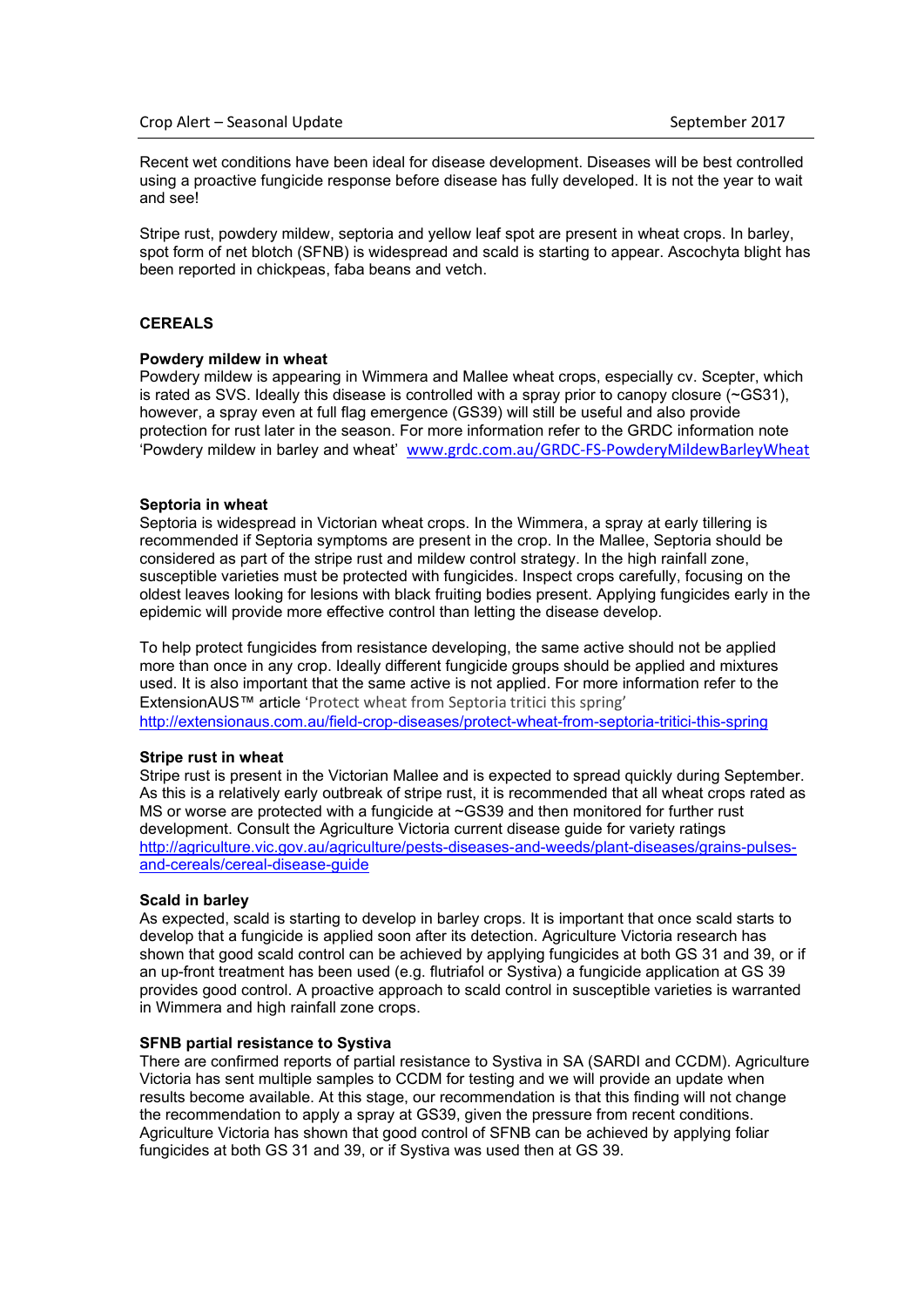Recent wet conditions have been ideal for disease development. Diseases will be best controlled using a proactive fungicide response before disease has fully developed. It is not the year to wait and see!

Stripe rust, powdery mildew, septoria and yellow leaf spot are present in wheat crops. In barley, spot form of net blotch (SFNB) is widespread and scald is starting to appear. Ascochyta blight has been reported in chickpeas, faba beans and vetch.

# **CEREALS**

## **Powdery mildew in wheat**

Powdery mildew is appearing in Wimmera and Mallee wheat crops, especially cv. Scepter, which is rated as SVS. Ideally this disease is controlled with a spray prior to canopy closure (~GS31), however, a spray even at full flag emergence (GS39) will still be useful and also provide protection for rust later in the season. For more information refer to the GRDC information note 'Powdery mildew in barley and wheat' [www.grdc.com.au/GRDC-FS-PowderyMildewBarleyWheat](https://grdc.com.au/resources-and-publications/all-publications/factsheets/2014/05/powdery-mildew-in-barley-and-wheat)

#### **Septoria in wheat**

Septoria is widespread in Victorian wheat crops. In the Wimmera, a spray at early tillering is recommended if Septoria symptoms are present in the crop. In the Mallee, Septoria should be considered as part of the stripe rust and mildew control strategy. In the high rainfall zone, susceptible varieties must be protected with fungicides. Inspect crops carefully, focusing on the oldest leaves looking for lesions with black fruiting bodies present. Applying fungicides early in the epidemic will provide more effective control than letting the disease develop.

To help protect fungicides from resistance developing, the same active should not be applied more than once in any crop. Ideally different fungicide groups should be applied and mixtures used. It is also important that the same active is not applied. For more information refer to the ExtensionAUS™ article '[Protect wheat from Septoria tritici this spring'](http://extensionaus.com.au/field-crop-diseases/protect-wheat-from-septoria-tritici-this-spring/) <http://extensionaus.com.au/field-crop-diseases/protect-wheat-from-septoria-tritici-this-spring>

#### **Stripe rust in wheat**

Stripe rust is present in the Victorian Mallee and is expected to spread quickly during September. As this is a relatively early outbreak of stripe rust, it is recommended that all wheat crops rated as MS or worse are protected with a fungicide at ~GS39 and then monitored for further rust development. Consult the Agriculture Victoria current disease guide for variety ratings [http://agriculture.vic.gov.au/agriculture/pests-diseases-and-weeds/plant-diseases/grains-pulses](http://agriculture.vic.gov.au/agriculture/pests-diseases-and-weeds/plant-diseases/grains-pulses-and-cereals/cereal-disease-guide)[and-cereals/cereal-disease-guide](http://agriculture.vic.gov.au/agriculture/pests-diseases-and-weeds/plant-diseases/grains-pulses-and-cereals/cereal-disease-guide)

#### **Scald in barley**

As expected, scald is starting to develop in barley crops. It is important that once scald starts to develop that a fungicide is applied soon after its detection. Agriculture Victoria research has shown that good scald control can be achieved by applying fungicides at both GS 31 and 39, or if an up-front treatment has been used (e.g. flutriafol or Systiva) a fungicide application at GS 39 provides good control. A proactive approach to scald control in susceptible varieties is warranted in Wimmera and high rainfall zone crops.

## **SFNB partial resistance to Systiva**

There are confirmed reports of partial resistance to Systiva in SA (SARDI and CCDM). Agriculture Victoria has sent multiple samples to CCDM for testing and we will provide an update when results become available. At this stage, our recommendation is that this finding will not change the recommendation to apply a spray at GS39, given the pressure from recent conditions. Agriculture Victoria has shown that good control of SFNB can be achieved by applying foliar fungicides at both GS 31 and 39, or if Systiva was used then at GS 39.